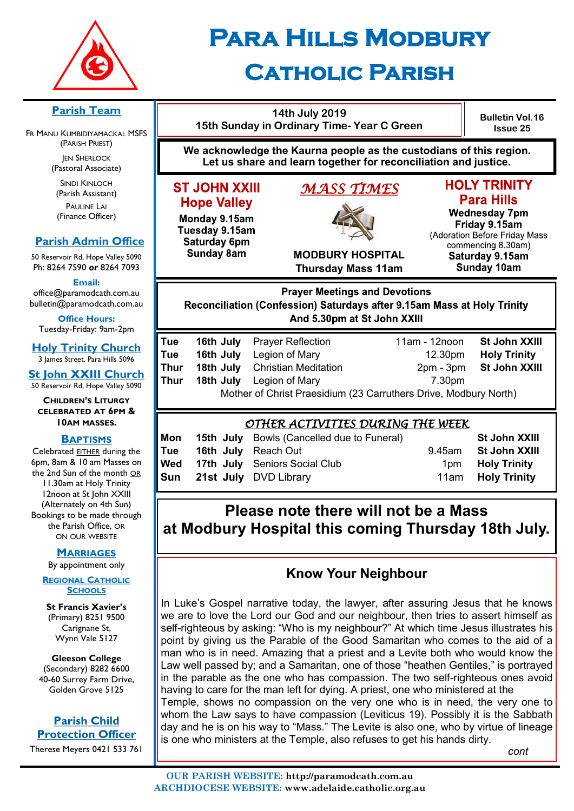

# **Para Hills Modbury Catholic Parish**

#### **14th July 2019 Bulletin Vol.16 15th Sunday in Ordinary Time- Year C Green Issue 25 We acknowledge the Kaurna people as the custodians of this region. Let us share and learn together for reconciliation and justice. HOLY TRINITY ST JOHN XXIII** *MASS TIMES*  **Para Hills Hope Valley Wednesday 7pm** Monday 9.15am Friday 9.15am Tuesday 9.15am (Adoration Before Friday Mass Saturday 6pm commencing 8.30am) **Sunday 8am MODBURY HOSPITAL** Saturday 9.15am Sunday 10am **Thursday Mass 11am Prayer Meetings and Devotions** Reconciliation (Confession) Saturdays after 9.15am Mass at Holy Trinity And 5.30pm at St John XXIII **Tue 16th July** Prayer Reflection 11am - 12noon **St John XXIII Tue 16th July** Legion of Mary 12.30pm **Holy Trinity Thur 18th July** Christian Meditation 2pm - 3pm **St John XXIII Thur 18th July** Legion of Mary **7.30pm** Mother of Christ Praesidium (23 Carruthers Drive, Modbury North) *OTHER ACTIVITIES DURING THE WEEK*  **Mon 15th July** Bowls (Cancelled due to Funeral) **St John XXIII Tue 16th July** Reach Out 9.45am **St John XXIII Wed 17th July** Seniors Social Club 1pm **Holy Trinity Sun 21st July** DVD Library **11am Holy Trinity Please note there will not be a Mass at Modbury Hospital this coming Thursday 18th July.**

# **Know Your Neighbour**

In Luke's Gospel narrative today, the lawyer, after assuring Jesus that he knows we are to love the Lord our God and our neighbour, then tries to assert himself as self-righteous by asking: "Who is my neighbour?" At which time Jesus illustrates his point by giving us the Parable of the Good Samaritan who comes to the aid of a man who is in need. Amazing that a priest and a Levite both who would know the Law well passed by; and a Samaritan, one of those "heathen Gentiles," is portrayed in the parable as the one who has compassion. The two self-righteous ones avoid having to care for the man left for dying. A priest, one who ministered at the Temple, shows no compassion on the very one who is in need, the very one to whom the Law says to have compassion (Leviticus 19). Possibly it is the Sabbath day and he is on his way to "Mass." The Levite is also one, who by virtue of lineage is one who ministers at the Temple, also refuses to get his hands dirty.

*cont*

# **Parish Team**

FR MANU KUMBIDIYAMACKAL MSFS (PARISH PRIEST) **JEN SHERLOCK** 

(Pastoral Associate)

SINDI KINLOCH (Parish Assistant) PAULINE LAI (Finance Officer)

## **Parish Admin Office**

50 Reservoir Rd, Hope Valley 5090 Ph: 8264 7590 *or* 8264 7093

**Email:** 

office@paramodcath.com.au bulletin@paramodcath.com.au

**Office Hours:**  Tuesday-Friday: 9am-2pm

**Holy Trinity Church** 3 James Street, Para Hills 5096

**St John XXIII Church** 50 Reservoir Rd, Hope Valley 5090

**CHILDREN'S LITURGY CELEBRATED AT 6PM & 10AM MASSES.**

#### **BAPTISMS**

Celebrated EITHER during the 6pm, 8am & 10 am Masses on the 2nd Sun of the month OR 11.30am at Holy Trinity 12noon at St John XXIII (Alternately on 4th Sun) Bookings to be made through the Parish Office, OR ON OUR WEBSITE

### **MARRIAGES**

By appointment only

#### **REGIONAL CATHOLIC SCHOOLS**

**St Francis Xavier's**  (Primary) 8251 9500 Carignane St, Wynn Vale 5127

**Gleeson College**  (Secondary) 8282 6600 40-60 Surrey Farm Drive, Golden Grove 5125

## **Parish Child Protection Officer**

Therese Meyers 0421 533 761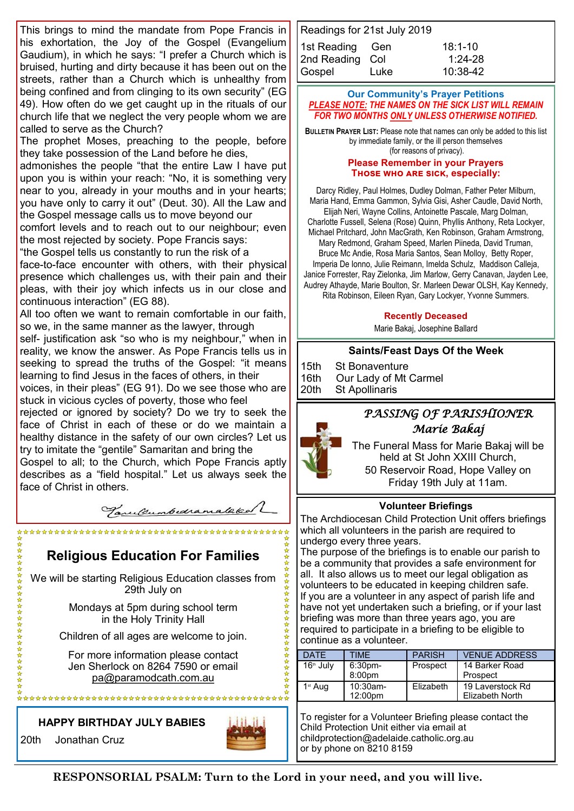This brings to mind the mandate from Pope Francis in his exhortation, the Joy of the Gospel (Evangelium Gaudium), in which he says: "I prefer a Church which is bruised, hurting and dirty because it has been out on the streets, rather than a Church which is unhealthy from being confined and from clinging to its own security" (EG 49). How often do we get caught up in the rituals of our church life that we neglect the very people whom we are called to serve as the Church?

The prophet Moses, preaching to the people, before they take possession of the Land before he dies,

admonishes the people "that the entire Law I have put upon you is within your reach: "No, it is something very near to you, already in your mouths and in your hearts; you have only to carry it out" (Deut. 30). All the Law and the Gospel message calls us to move beyond our

comfort levels and to reach out to our neighbour; even the most rejected by society. Pope Francis says:

"the Gospel tells us constantly to run the risk of a

face-to-face encounter with others, with their physical presence which challenges us, with their pain and their pleas, with their joy which infects us in our close and continuous interaction" (EG 88).

All too often we want to remain comfortable in our faith, so we, in the same manner as the lawyer, through

self- justification ask "so who is my neighbour," when in reality, we know the answer. As Pope Francis tells us in seeking to spread the truths of the Gospel: "it means learning to find Jesus in the faces of others, in their

voices, in their pleas" (EG 91). Do we see those who are stuck in vicious cycles of poverty, those who feel

rejected or ignored by society? Do we try to seek the face of Christ in each of these or do we maintain a healthy distance in the safety of our own circles? Let us try to imitate the "gentile" Samaritan and bring the

Gospel to all; to the Church, which Pope Francis aptly describes as a "field hospital." Let us always seek the face of Christ in others.

Tanulumbedramalakal

## **Religious Education For Families**

We will be starting Religious Education classes from 29th July on

> Mondays at 5pm during school term in the Holy Trinity Hall

Children of all ages are welcome to join.

For more information please contact Jen Sherlock on 8264 7590 or email [pa@paramodcath.com.au](mailto:pa@paramodcath.com.au)

**HAPPY BIRTHDAY JULY BABIES**

20th Jonathan Cruz

☆☆☆☆☆☆☆☆☆☆☆☆☆☆☆☆☆☆☆☆



Readings for 21st July 2019 1st Reading Gen 18:1-10 2nd Reading Col 1:24-28 Gospel Luke 10:38-42

#### **Our Community's Prayer Petitions**  *PLEASE NOTE: THE NAMES ON THE SICK LIST WILL REMAIN FOR TWO MONTHS ONLY UNLESS OTHERWISE NOTIFIED.*

**BULLETIN PRAYER LIST:** Please note that names can only be added to this list by immediate family, or the ill person themselves (for reasons of privacy).

#### **Please Remember in your Prayers Those who are sick, especially:**

Darcy Ridley, Paul Holmes, Dudley Dolman, Father Peter Milburn, Maria Hand, Emma Gammon, Sylvia Gisi, Asher Caudle, David North, Elijah Neri, Wayne Collins, Antoinette Pascale, Marg Dolman, Charlotte Fussell, Selena (Rose) Quinn, Phyllis Anthony, Reta Lockyer, Michael Pritchard, John MacGrath, Ken Robinson, Graham Armstrong, Mary Redmond, Graham Speed, Marlen Piineda, David Truman, Bruce Mc Andie, Rosa Maria Santos, Sean Molloy, Betty Roper, Imperia De Ionno, Julie Reimann, Imelda Schulz, Maddison Calleja, Janice Forrester, Ray Zielonka, Jim Marlow, Gerry Canavan, Jayden Lee, Audrey Athayde, Marie Boulton, Sr. Marleen Dewar OLSH, Kay Kennedy, Rita Robinson, Eileen Ryan, Gary Lockyer, Yvonne Summers.

#### **Recently Deceased**

Marie Bakaj, Josephine Ballard

## **Saints/Feast Days Of the Week**

15th St Bonaventure 16th Our Lady of Mt Carmel 20th St Apollinaris

## *PASSING OF PARISHIONER Marie Bakaj*

The Funeral Mass for Marie Bakaj will be held at St John XXIII Church, 50 Reservoir Road, Hope Valley on Friday 19th July at 11am.

## **Volunteer Briefings**

The Archdiocesan Child Protection Unit offers briefings which all volunteers in the parish are required to undergo every three years.

The purpose of the briefings is to enable our parish to be a community that provides a safe environment for all. It also allows us to meet our legal obligation as volunteers to be educated in keeping children safe. If you are a volunteer in any aspect of parish life and have not yet undertaken such a briefing, or if your last briefing was more than three years ago, you are required to participate in a briefing to be eligible to continue as a volunteer.

| DATE        | <b>TIMF</b>                  | <b>PARISH</b> | <b>VENUE ADDRESS</b>                |
|-------------|------------------------------|---------------|-------------------------------------|
| $16th$ July | 6:30 <sub>pm</sub><br>8:00pm | Prospect      | 14 Barker Road<br>Prospect          |
| $1st$ Aug   | $10:30$ am-<br>12:00pm       | Elizabeth     | 19 Laverstock Rd<br>Elizabeth North |

To register for a Volunteer Briefing please contact the Child Protection Unit either via email at childprotection@adelaide.catholic.org.au or by phone on 8210 8159

**RESPONSORIAL PSALM: Turn to the Lord in your need, and you will live.**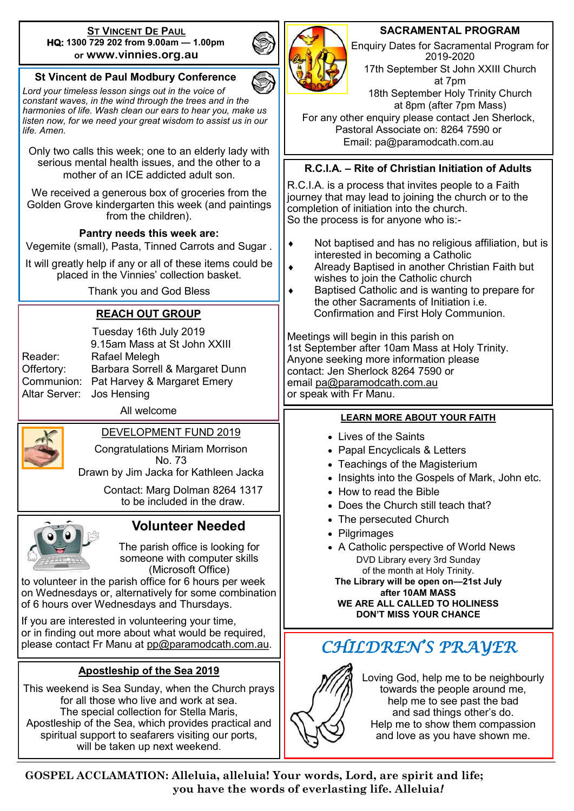#### **ST VINCENT DE PAUL HQ: 1300 729 202 from 9.00am — 1.00pm or www.vinnies.org.au**

## **St Vincent de Paul Modbury Conference**

*Lord your timeless lesson sings out in the voice of constant waves, in the wind through the trees and in the harmonies of life. Wash clean our ears to hear you, make us listen now, for we need your great wisdom to assist us in our life. Amen.*

Only two calls this week; one to an elderly lady with serious mental health issues, and the other to a mother of an ICF addicted adult son

We received a generous box of groceries from the Golden Grove kindergarten this week (and paintings from the children).

## **Pantry needs this week are:**

Vegemite (small), Pasta, Tinned Carrots and Sugar .

It will greatly help if any or all of these items could be placed in the Vinnies' collection basket.

Thank you and God Bless

## **REACH OUT GROUP**

| Reader:       |  |  |  |
|---------------|--|--|--|
| Offertory:    |  |  |  |
| Communion:    |  |  |  |
| Altar Server: |  |  |  |

Tuesday 16th July 2019 9.15am Mass at St John XXIII Rafael Melegh Barbara Sorrell & Margaret Dunn Pat Harvey & Margaret Emery Jos Hensing

All welcome



# DEVELOPMENT FUND 2019

Congratulations Miriam Morrison No. 73

Drawn by Jim Jacka for Kathleen Jacka

Contact: Marg Dolman 8264 1317 to be included in the draw.



## **Volunteer Needed**

The parish office is looking for someone with computer skills (Microsoft Office)

to volunteer in the parish office for 6 hours per week on Wednesdays or, alternatively for some combination of 6 hours over Wednesdays and Thursdays.

If you are interested in volunteering your time, or in finding out more about what would be required, please contact Fr Manu at [pp@paramodcath.com.au.](mailto:pp@paramodcath.com.au)

## **Apostleship of the Sea 2019**

This weekend is Sea Sunday, when the Church prays for all those who live and work at sea. The special collection for Stella Maris, Apostleship of the Sea, which provides practical and spiritual support to seafarers visiting our ports, will be taken up next weekend.

## **SACRAMENTAL PROGRAM**

Enquiry Dates for Sacramental Program for 2019-2020 17th September St John XXIII Church at 7pm 18th September Holy Trinity Church at 8pm (after 7pm Mass)

For any other enquiry please contact Jen Sherlock, Pastoral Associate on: 8264 7590 or Email: pa@paramodcath.com.au

## **R.C.I.A. – Rite of Christian Initiation of Adults**

R.C.I.A. is a process that invites people to a Faith journey that may lead to joining the church or to the completion of initiation into the church. So the process is for anyone who is:-

- Not baptised and has no religious affiliation, but is interested in becoming a Catholic
- ◆ Already Baptised in another Christian Faith but wishes to join the Catholic church
- ◆ Baptised Catholic and is wanting to prepare for the other Sacraments of Initiation i.e. Confirmation and First Holy Communion.

Meetings will begin in this parish on 1st September after 10am Mass at Holy Trinity. Anyone seeking more information please contact: Jen Sherlock 8264 7590 or email [pa@paramodcath.com.au](mailto:pa@paramodcath.com.au) or speak with Fr Manu.

### **LEARN MORE ABOUT YOUR FAITH**

- **.** Lives of the Saints
- Papal Encyclicals & Letters
- Teachings of the Magisterium
- Insights into the Gospels of Mark, John etc.
- How to read the Bible
- Does the Church still teach that?
- The persecuted Church
- Pilgrimages
- A Catholic perspective of World News DVD Library every 3rd Sunday of the month at Holy Trinity. **The Library will be open on—21st July after 10AM MASS WE ARE ALL CALLED TO HOLINESS DON'T MISS YOUR CHANCE**



Loving God, help me to be neighbourly towards the people around me, help me to see past the bad and sad things other's do. Help me to show them compassion and love as you have shown me.

**GOSPEL ACCLAMATION: Alleluia, alleluia! Your words, Lord, are spirit and life; you have the words of everlasting life. Alleluia***!*